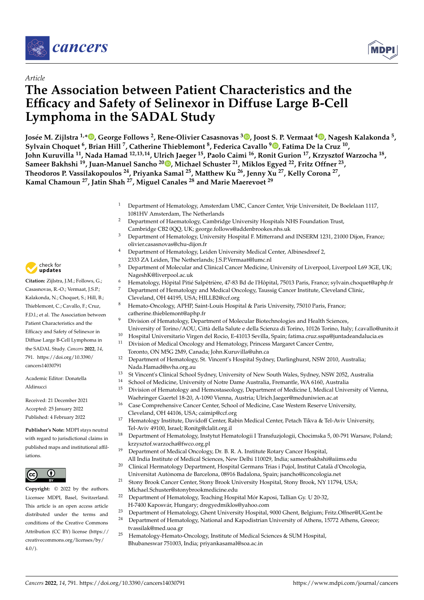

# *Article*

# **The Association between Patient Characteristics and the Efficacy and Safety of Selinexor in Diffuse Large B-Cell Lymphoma in the SADAL Study**

Josée M. Zijlstra <sup>1[,](https://orcid.org/0000-0002-1628-6256)</sup>\*®, George Follows <sup>2</sup>, Rene-Olivier Casasnovas <sup>3</sup>®, Joost S. P. Vermaat <sup>4</sup>®, Nagesh Kalakonda <sup>5</sup>, **Sylvain Choquet <sup>6</sup> , Brian Hill <sup>7</sup> , Catherine Thieblemont <sup>8</sup> , Federica Cavallo <sup>9</sup> [,](https://orcid.org/0000-0003-2047-1099) Fatima De la Cruz <sup>10</sup> , John Kuruvilla <sup>11</sup>, Nada Hamad 12,13,14, Ulrich Jaeger <sup>15</sup>, Paolo Caimi <sup>16</sup>, Ronit Gurion <sup>17</sup>, Krzysztof Warzocha <sup>18</sup> , Sameer Bakhshi <sup>19</sup>, Juan-Manuel Sancho <sup>20</sup> [,](https://orcid.org/0000-0001-7168-6538) Michael Schuster <sup>21</sup>, Miklos Egyed <sup>22</sup>, Fritz Offner <sup>23</sup> , Theodoros P. Vassilakopoulos <sup>24</sup>, Priyanka Samal <sup>25</sup>, Matthew Ku <sup>26</sup>, Jenny Xu <sup>27</sup>, Kelly Corona <sup>27</sup> , Kamal Chamoun <sup>27</sup>, Jatin Shah <sup>27</sup>, Miguel Canales <sup>28</sup> and Marie Maerevoet <sup>29</sup>**

- <sup>1</sup> Department of Hematology, Amsterdam UMC, Cancer Center, Vrije Universiteit, De Boelelaan 1117, 1081HV Amsterdam, The Netherlands
- <sup>2</sup> Department of Haematology, Cambridge University Hospitals NHS Foundation Trust, Cambridge CB2 0QQ, UK; george.follows@addenbrookes.nhs.uk
- <sup>3</sup> Department of Hematology, University Hospital F. Mitterrand and INSERM 1231, 21000 Dijon, France; olivier.casasnovas@chu-dijon.fr
- <sup>4</sup> Department of Hematology, Leiden University Medical Center, Albinesdreef 2, 2333 ZA Leiden, The Netherlands; J.S.P.Vermaat@lumc.nl
- <sup>5</sup> Department of Molecular and Clinical Cancer Medicine, University of Liverpool, Liverpool L69 3GE, UK; NageshK@liverpool.ac.uk
- <sup>6</sup> Hematology, Hôpital Pitié Salpêtrière, 47-83 Bd de l'Hôpital, 75013 Paris, France; sylvain.choquet@aphp.fr
- <sup>7</sup> Department of Hematology and Medical Oncology, Taussig Cancer Institute, Cleveland Clinic, Cleveland, OH 44195, USA; HILLB2@ccf.org
- <sup>8</sup> Hemato-Oncology, APHP, Saint-Louis Hospital & Paris University, 75010 Paris, France; catherine.thieblemont@aphp.fr
- <sup>9</sup> Division of Hematology, Department of Molecular Biotechnologies and Health Sciences, University of Torino/AOU, Città della Salute e della Scienza di Torino, 10126 Torino, Italy; f.cavallo@unito.it
- <sup>10</sup> Hospital Universitario Virgen del Rocio, E-41013 Sevilla, Spain; fatima.cruz.sspa@juntadeandalucia.es
- <sup>11</sup> Division of Medical Oncology and Hematology, Princess Margaret Cancer Centre,
	- Toronto, ON M5G 2M9, Canada; John.Kuruvilla@uhn.ca
- <sup>12</sup> Department of Hematology, St. Vincent's Hospital Sydney, Darlinghurst, NSW 2010, Australia; Nada.Hamad@svha.org.au
- <sup>13</sup> St Vincent's Clinical School Sydney, University of New South Wales, Sydney, NSW 2052, Australia
- <sup>14</sup> School of Medicine, University of Notre Dame Australia, Fremantle, WA 6160, Australia
- <sup>15</sup> Division of Hematology and Hemostaseology, Department of Medicine I, Medical University of Vienna, Waehringer Guertel 18-20, A-1090 Vienna, Austria; Ulrich.Jaeger@meduniwien.ac.at
- <sup>16</sup> Case Comprehensive Cancer Center, School of Medicine, Case Western Reserve University, Cleveland, OH 44106, USA; caimip@ccf.org
- <sup>17</sup> Hematology Institute, Davidoff Center, Rabin Medical Center, Petach Tikva & Tel-Aviv University, Tel-Aviv 49100, Israel; Ronitg@clalit.org.il
- <sup>18</sup> Department of Hematology, Instytut Hematologii I Transfuzjologii, Chocimska 5, 00-791 Warsaw, Poland; krzysztof.warzocha@fwco.org.pl
	- <sup>19</sup> Department of Medical Oncology, Dr. B. R. A. Institute Rotary Cancer Hospital, All India Institute of Medical Sciences, New Delhi 110029, India; sameerbakhshi@aiims.edu
- <sup>20</sup> Clinical Hermatology Department, Hospital Germans Trias i Pujol, Institut Català d'Oncologia, Universitat Autònoma de Barcelona, 08916 Badalona, Spain; jsancho@iconcologia.net
- <sup>21</sup> Stony Brook Cancer Center, Stony Brook University Hospital, Stony Brook, NY 11794, USA; Michael.Schuster@stonybrookmedicine.edu
- <sup>22</sup> Department of Hematology, Teaching Hospital Mór Kaposi, Tallian Gy. U 20-32,
	- H-7400 Kaposvár, Hungary; dregyedmiklos@yahoo.com
- <sup>23</sup> Department of Hematology, Ghent University Hospital, 9000 Ghent, Belgium; Fritz.Offner@UGent.be
- <sup>24</sup> Department of Hematology, National and Kapodistrian University of Athens, 15772 Athens, Greece; tvassilak@med.uoa.gr
- <sup>25</sup> Hematology-Hemato-Oncology, Institute of Medical Sciences & SUM Hospital, Bhubaneswar 751003, India; priyankasamal@soa.ac.in



**Citation:** Zijlstra, J.M.; Follows, G.; Casasnovas, R.-O.; Vermaat, J.S.P.; Kalakonda, N.; Choquet, S.; Hill, B.; Thieblemont, C.; Cavallo, F.; Cruz, F.D.l.; et al. The Association between Patient Characteristics and the Efficacy and Safety of Selinexor in Diffuse Large B-Cell Lymphoma in the SADAL Study. *Cancers* **2022**, *14*, 791. [https://doi.org/10.3390/](https://doi.org/10.3390/cancers14030791) [cancers14030791](https://doi.org/10.3390/cancers14030791)

Academic Editor: Donatella Aldinucci

Received: 21 December 2021 Accepted: 25 January 2022 Published: 4 February 2022

**Publisher's Note:** MDPI stays neutral with regard to jurisdictional claims in published maps and institutional affiliations.

**Copyright:** © 2022 by the authors. Licensee MDPI, Basel, Switzerland.



This article is an open access article distributed under the terms and conditions of the Creative Commons Attribution (CC BY) license [\(https://](https://creativecommons.org/licenses/by/4.0/) [creativecommons.org/licenses/by/](https://creativecommons.org/licenses/by/4.0/)  $4.0/$ ).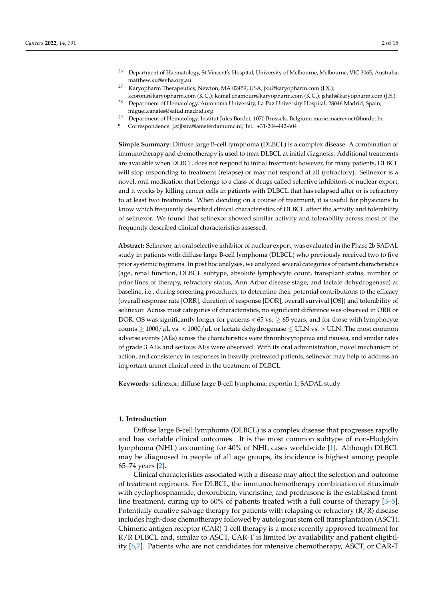- <sup>26</sup> Department of Haematology, St.Vincent's Hospital, University of Melbourne, Melbourne, VIC 3065, Australia; matthew.ku@svha.org.au
- <sup>27</sup> Karyopharm Therapeutics, Newton, MA 02459, USA; jxu@karyopharm.com (J.X.); kcorona@karyopharm.com (K.C.); kamal.chamoun@karyopharm.com (K.C.); jshah@karyopharm.com (J.S.)
- <sup>28</sup> Department of Hematology, Autonoma University, La Paz University Hospital, 28046 Madrid, Spain; miguel.canales@salud.madrid.org
- <sup>29</sup> Department of Hematology, Institut Jules Bordet, 1070 Brussels, Belgium; marie.maerevoet@bordet.be
- **\*** Correspondence: j.zijlstra@amsterdamumc.nl; Tel.: +31-204-442-604

**Simple Summary:** Diffuse large B-cell lymphoma (DLBCL) is a complex disease. A combination of immunotherapy and chemotherapy is used to treat DLBCL at initial diagnosis. Additional treatments are available when DLBCL does not respond to initial treatment; however, for many patients, DLBCL will stop responding to treatment (relapse) or may not respond at all (refractory). Selinexor is a novel, oral medication that belongs to a class of drugs called selective inhibitors of nuclear export, and it works by killing cancer cells in patients with DLBCL that has relapsed after or is refractory to at least two treatments. When deciding on a course of treatment, it is useful for physicians to know which frequently described clinical characteristics of DLBCL affect the activity and tolerability of selinexor. We found that selinexor showed similar activity and tolerability across most of the frequently described clinical characteristics assessed.

**Abstract:** Selinexor, an oral selective inhibitor of nuclear export, was evaluated in the Phase 2b SADAL study in patients with diffuse large B-cell lymphoma (DLBCL) who previously received two to five prior systemic regimens. In post hoc analyses, we analyzed several categories of patient characteristics (age, renal function, DLBCL subtype, absolute lymphocyte count, transplant status, number of prior lines of therapy, refractory status, Ann Arbor disease stage, and lactate dehydrogenase) at baseline, i.e., during screening procedures, to determine their potential contributions to the efficacy (overall response rate [ORR], duration of response [DOR], overall survival [OS]) and tolerability of selinexor. Across most categories of characteristics, no significant difference was observed in ORR or DOR. OS was significantly longer for patients  $< 65$  vs.  $\geq 65$  years, and for those with lymphocyte counts  $\geq 1000/\mu L$  vs. < 1000/ $\mu$ L or lactate dehydrogenase  $\leq$  ULN vs. > ULN. The most common adverse events (AEs) across the characteristics were thrombocytopenia and nausea, and similar rates of grade 3 AEs and serious AEs were observed. With its oral administration, novel mechanism of action, and consistency in responses in heavily pretreated patients, selinexor may help to address an important unmet clinical need in the treatment of DLBCL.

**Keywords:** selinexor; diffuse large B-cell lymphoma; exportin 1; SADAL study

#### **1. Introduction**

Diffuse large B-cell lymphoma (DLBCL) is a complex disease that progresses rapidly and has variable clinical outcomes. It is the most common subtype of non-Hodgkin lymphoma (NHL) accounting for 40% of NHL cases worldwide [\[1\]](#page-13-0). Although DLBCL may be diagnosed in people of all age groups, its incidence is highest among people 65–74 years [\[2\]](#page-13-1).

Clinical characteristics associated with a disease may affect the selection and outcome of treatment regimens. For DLBCL, the immunochemotherapy combination of rituximab with cyclophosphamide, doxorubicin, vincristine, and prednisone is the established frontline treatment, curing up to 60% of patients treated with a full course of therapy [\[3](#page-13-2)[–5\]](#page-13-3). Potentially curative salvage therapy for patients with relapsing or refractory  $(R/R)$  disease includes high-dose chemotherapy followed by autologous stem cell transplantation (ASCT). Chimeric antigen receptor (CAR)-T cell therapy is a more recently approved treatment for R/R DLBCL and, similar to ASCT, CAR-T is limited by availability and patient eligibility [\[6,](#page-13-4)[7\]](#page-13-5). Patients who are not candidates for intensive chemotherapy, ASCT, or CAR-T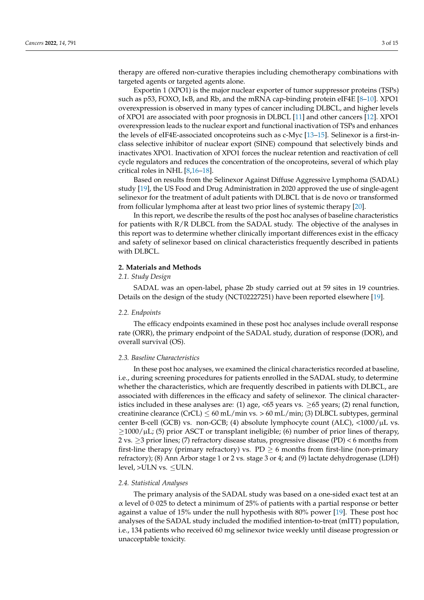therapy are offered non-curative therapies including chemotherapy combinations with targeted agents or targeted agents alone.

Exportin 1 (XPO1) is the major nuclear exporter of tumor suppressor proteins (TSPs) such as p53, FOXO, IκB, and Rb, and the mRNA cap-binding protein eIF4E [\[8](#page-14-0)[–10\]](#page-14-1). XPO1 overexpression is observed in many types of cancer including DLBCL, and higher levels of XPO1 are associated with poor prognosis in DLBCL [\[11\]](#page-14-2) and other cancers [\[12\]](#page-14-3). XPO1 overexpression leads to the nuclear export and functional inactivation of TSPs and enhances the levels of eIF4E-associated oncoproteins such as c-Myc [\[13–](#page-14-4)[15\]](#page-14-5). Selinexor is a first-inclass selective inhibitor of nuclear export (SINE) compound that selectively binds and inactivates XPO1. Inactivation of XPO1 forces the nuclear retention and reactivation of cell cycle regulators and reduces the concentration of the oncoproteins, several of which play critical roles in NHL [\[8](#page-14-0)[,16](#page-14-6)[–18\]](#page-14-7).

Based on results from the Selinexor Against Diffuse Aggressive Lymphoma (SADAL) study [\[19\]](#page-14-8), the US Food and Drug Administration in 2020 approved the use of single-agent selinexor for the treatment of adult patients with DLBCL that is de novo or transformed from follicular lymphoma after at least two prior lines of systemic therapy [\[20\]](#page-14-9).

In this report, we describe the results of the post hoc analyses of baseline characteristics for patients with R/R DLBCL from the SADAL study. The objective of the analyses in this report was to determine whether clinically important differences exist in the efficacy and safety of selinexor based on clinical characteristics frequently described in patients with DLBCL.

## **2. Materials and Methods**

## *2.1. Study Design*

SADAL was an open-label, phase 2b study carried out at 59 sites in 19 countries. Details on the design of the study (NCT02227251) have been reported elsewhere [\[19\]](#page-14-8).

#### *2.2. Endpoints*

The efficacy endpoints examined in these post hoc analyses include overall response rate (ORR), the primary endpoint of the SADAL study, duration of response (DOR), and overall survival (OS).

## *2.3. Baseline Characteristics*

In these post hoc analyses, we examined the clinical characteristics recorded at baseline, i.e., during screening procedures for patients enrolled in the SADAL study, to determine whether the characteristics, which are frequently described in patients with DLBCL, are associated with differences in the efficacy and safety of selinexor. The clinical characteristics included in these analyses are: (1) age, <65 years vs.  $\geq$ 65 years; (2) renal function, creatinine clearance (CrCL)  $\leq 60$  mL/min vs.  $> 60$  mL/min; (3) DLBCL subtypes, germinal center B-cell (GCB) vs. non-GCB; (4) absolute lymphocyte count (ALC),  $\langle$ 1000/ $\mu$ L vs.  $\geq$ 1000/ $\mu$ L; (5) prior ASCT or transplant ineligible; (6) number of prior lines of therapy, 2 vs.  $\geq$ 3 prior lines; (7) refractory disease status, progressive disease (PD) < 6 months from first-line therapy (primary refractory) vs.  $PD \ge 6$  months from first-line (non-primary refractory); (8) Ann Arbor stage 1 or 2 vs. stage 3 or 4; and (9) lactate dehydrogenase (LDH) level, >ULN vs. ≤ULN.

#### *2.4. Statistical Analyses*

The primary analysis of the SADAL study was based on a one-sided exact test at an  $\alpha$  level of 0.025 to detect a minimum of 25% of patients with a partial response or better against a value of 15% under the null hypothesis with 80% power [\[19\]](#page-14-8). These post hoc analyses of the SADAL study included the modified intention-to-treat (mITT) population, i.e., 134 patients who received 60 mg selinexor twice weekly until disease progression or unacceptable toxicity.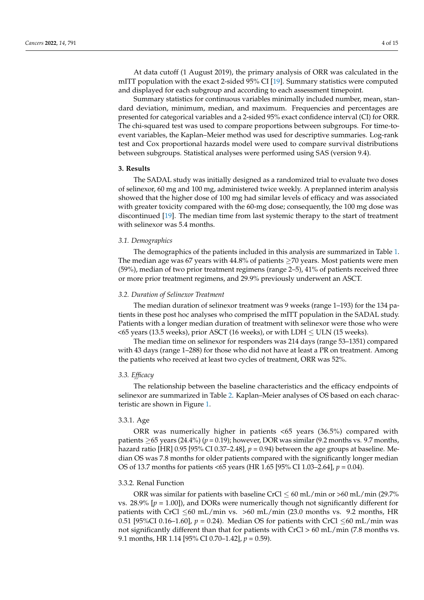At data cutoff (1 August 2019), the primary analysis of ORR was calculated in the mITT population with the exact 2-sided 95% CI [\[19\]](#page-14-8). Summary statistics were computed and displayed for each subgroup and according to each assessment timepoint.

Summary statistics for continuous variables minimally included number, mean, standard deviation, minimum, median, and maximum. Frequencies and percentages are presented for categorical variables and a 2-sided 95% exact confidence interval (CI) for ORR. The chi-squared test was used to compare proportions between subgroups. For time-toevent variables, the Kaplan–Meier method was used for descriptive summaries. Log-rank test and Cox proportional hazards model were used to compare survival distributions between subgroups. Statistical analyses were performed using SAS (version 9.4).

## **3. Results**

The SADAL study was initially designed as a randomized trial to evaluate two doses of selinexor, 60 mg and 100 mg, administered twice weekly. A preplanned interim analysis showed that the higher dose of 100 mg had similar levels of efficacy and was associated with greater toxicity compared with the 60-mg dose; consequently, the 100 mg dose was discontinued [\[19\]](#page-14-8). The median time from last systemic therapy to the start of treatment with selinexor was 5.4 months.

#### *3.1. Demographics*

The demographics of the patients included in this analysis are summarized in Table [1.](#page-4-0) The median age was 67 years with 44.8% of patients ≥70 years. Most patients were men (59%), median of two prior treatment regimens (range 2–5), 41% of patients received three or more prior treatment regimens, and 29.9% previously underwent an ASCT.

### *3.2. Duration of Selinexor Treatment*

The median duration of selinexor treatment was 9 weeks (range 1–193) for the 134 patients in these post hoc analyses who comprised the mITT population in the SADAL study. Patients with a longer median duration of treatment with selinexor were those who were  $<$  65 years (13.5 weeks), prior ASCT (16 weeks), or with LDH  $\leq$  ULN (15 weeks).

The median time on selinexor for responders was 214 days (range 53–1351) compared with 43 days (range 1–288) for those who did not have at least a PR on treatment. Among the patients who received at least two cycles of treatment, ORR was 52%.

## *3.3. Efficacy*

The relationship between the baseline characteristics and the efficacy endpoints of selinexor are summarized in Table [2.](#page-5-0) Kaplan–Meier analyses of OS based on each characteristic are shown in Figure [1.](#page-7-0)

## 3.3.1. Age

ORR was numerically higher in patients <65 years (36.5%) compared with patients  $\geq$  65 years (24.4%) ( $p = 0.19$ ); however, DOR was similar (9.2 months vs. 9.7 months, hazard ratio [HR] 0.95 [95% CI 0.37–2.48], *p* = 0.94) between the age groups at baseline. Median OS was 7.8 months for older patients compared with the significantly longer median OS of 13.7 months for patients <65 years (HR 1.65 [95% CI 1.03–2.64], *p* = 0.04).

## 3.3.2. Renal Function

ORR was similar for patients with baseline CrCl  $\leq 60$  mL/min or >60 mL/min (29.7%) vs.  $28.9\%$  [ $p = 1.00$ ]), and DORs were numerically though not significantly different for patients with CrCl  $\leq 60$  mL/min vs. >60 mL/min (23.0 months vs. 9.2 months, HR 0.51 [95%CI 0.16–1.60],  $p = 0.24$ ). Median OS for patients with CrCl  $\leq 60$  mL/min was not significantly different than that for patients with CrCl > 60 mL/min (7.8 months vs. 9.1 months, HR 1.14 [95% CI 0.70–1.42], *p* = 0.59).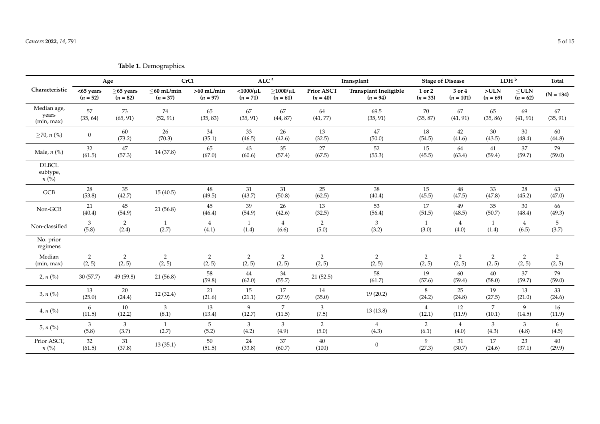<span id="page-4-0"></span>

|                                                  |                          |                               | <b>THEIR IN DELIVERATION</b>   |                            |                                 |                                    |                                 |                                            |                          |                         |                          |                          |                          |
|--------------------------------------------------|--------------------------|-------------------------------|--------------------------------|----------------------------|---------------------------------|------------------------------------|---------------------------------|--------------------------------------------|--------------------------|-------------------------|--------------------------|--------------------------|--------------------------|
|                                                  |                          | Age                           |                                | <b>CrCl</b>                |                                 | ALC <sup>a</sup>                   |                                 | Transplant                                 |                          | <b>Stage of Disease</b> |                          | LDH <sup>b</sup>         | <b>Total</b>             |
| Characteristic                                   | <65 years<br>$(n = 52)$  | $\geq$ 65 years<br>$(n = 82)$ | $\leq$ 60 mL/min<br>$(n = 37)$ | $>60$ mL/min<br>$(n = 97)$ | $<$ 1000/ $\mu$ L<br>$(n = 71)$ | $\geq$ 1000/ $\mu$ L<br>$(n = 61)$ | <b>Prior ASCT</b><br>$(n = 40)$ | <b>Transplant Ineligible</b><br>$(n = 94)$ | 1 or 2<br>$(n = 33)$     | 3 or 4<br>$(n = 101)$   | >ULN<br>$(n = 69)$       | $\leq$ ULN<br>$(n = 62)$ | $(N = 134)$              |
| Median age,<br>years<br>(min, max)               | 57<br>(35, 64)           | 73<br>(65, 91)                | 74<br>(52, 91)                 | 65<br>(35, 83)             | 67<br>(35, 91)                  | 67<br>(44, 87)                     | 64<br>(41, 77)                  | 69.5<br>(35, 91)                           | 70<br>(35, 87)           | 67<br>(41, 91)          | 65<br>(35, 86)           | 69<br>(41, 91)           | 67<br>(35, 91)           |
| $≥70, n$ (%)                                     | $\overline{0}$           | 60<br>(73.2)                  | 26<br>(70.3)                   | 34<br>(35.1)               | 33<br>(46.5)                    | 26<br>(42.6)                       | 13<br>(32.5)                    | 47<br>(50.0)                               | 18<br>(54.5)             | 42<br>(41.6)            | 30<br>(43.5)             | 30<br>(48.4)             | 60<br>(44.8)             |
| Male, $n$ (%)                                    | $32\,$<br>(61.5)         | 47<br>(57.3)                  | 14 (37.8)                      | 65<br>(67.0)               | 43<br>(60.6)                    | 35<br>(57.4)                       | 27<br>(67.5)                    | 52<br>(55.3)                               | 15<br>(45.5)             | 64<br>(63.4)            | 41<br>(59.4)             | 37<br>(59.7)             | 79<br>(59.0)             |
| <b>DLBCL</b><br>subtype,<br>$n(\sqrt[6]{\circ})$ |                          |                               |                                |                            |                                 |                                    |                                 |                                            |                          |                         |                          |                          |                          |
| GCB                                              | 28<br>(53.8)             | 35<br>(42.7)                  | 15(40.5)                       | 48<br>(49.5)               | 31<br>(43.7)                    | 31<br>(50.8)                       | 25<br>(62.5)                    | 38<br>(40.4)                               | 15<br>(45.5)             | 48<br>(47.5)            | 33<br>(47.8)             | 28<br>(45.2)             | 63<br>(47.0)             |
| Non-GCB                                          | 21<br>(40.4)             | 45<br>(54.9)                  | 21 (56.8)                      | 45<br>(46.4)               | 39<br>(54.9)                    | 26<br>(42.6)                       | 13<br>(32.5)                    | 53<br>(56.4)                               | 17<br>(51.5)             | 49<br>(48.5)            | 35<br>(50.7)             | 30<br>(48.4)             | 66<br>(49.3)             |
| Non-classified                                   | 3<br>(5.8)               | $\overline{2}$<br>(2.4)       | $\mathbf{1}$<br>(2.7)          | $\overline{4}$<br>(4.1)    | 1<br>(1.4)                      | $\overline{4}$<br>(6.6)            | 2<br>(5.0)                      | 3<br>(3.2)                                 | 1<br>(3.0)               | $\overline{4}$<br>(4.0) | 1<br>(1.4)               | $\overline{4}$<br>(6.5)  | 5<br>(3.7)               |
| No. prior<br>regimens                            |                          |                               |                                |                            |                                 |                                    |                                 |                                            |                          |                         |                          |                          |                          |
| Median<br>(min, max)                             | $\overline{2}$<br>(2, 5) | $\overline{2}$<br>(2, 5)      | $\overline{2}$<br>(2, 5)       | 2<br>(2, 5)                | 2<br>(2, 5)                     | 2<br>(2, 5)                        | 2<br>(2, 5)                     | $\overline{2}$<br>(2, 5)                   | $\overline{2}$<br>(2, 5) | 2<br>(2, 5)             | $\overline{2}$<br>(2, 5) | $\overline{2}$<br>(2, 5) | $\overline{2}$<br>(2, 5) |
| $2, n$ (%)                                       | 30(57.7)                 | 49 (59.8)                     | 21(56.8)                       | 58<br>(59.8)               | 44<br>(62.0)                    | 34<br>(55.7)                       | 21(52.5)                        | 58<br>(61.7)                               | 19<br>(57.6)             | 60<br>(59.4)            | 40<br>(58.0)             | 37<br>(59.7)             | 79<br>(59.0)             |
| 3, n (%)                                         | 13<br>(25.0)             | 20<br>(24.4)                  | 12 (32.4)                      | 21<br>(21.6)               | 15<br>(21.1)                    | 17<br>(27.9)                       | 14<br>(35.0)                    | 19(20.2)                                   | 8<br>(24.2)              | 25<br>(24.8)            | 19<br>(27.5)             | 13<br>(21.0)             | 33<br>(24.6)             |
| 4, n (%)                                         | 6<br>(11.5)              | 10<br>(12.2)                  | $\mathfrak{Z}$<br>(8.1)        | 13<br>(13.4)               | 9<br>(12.7)                     | $\overline{7}$<br>(11.5)           | $\mathbf{3}$<br>(7.5)           | 13(13.8)                                   | $\overline{4}$<br>(12.1) | 12<br>(11.9)            | $\overline{7}$<br>(10.1) | 9<br>(14.5)              | 16<br>(11.9)             |
| 5, $n$ (%)                                       | 3<br>(5.8)               | 3<br>(3.7)                    | $\mathbf{1}$<br>(2.7)          | 5<br>(5.2)                 | 3<br>(4.2)                      | $\mathfrak{Z}$<br>(4.9)            | 2<br>(5.0)                      | $\overline{4}$<br>(4.3)                    | $\overline{2}$<br>(6.1)  | $\overline{4}$<br>(4.0) | 3<br>(4.3)               | 3<br>(4.8)               | 6<br>(4.5)               |
| Prior ASCT,<br>$n\left(\%\right)$                | $32\,$<br>(61.5)         | 31<br>(37.8)                  | 13(35.1)                       | $50\,$<br>(51.5)           | 24<br>(33.8)                    | 37<br>(60.7)                       | $40\,$<br>(100)                 | $\mathbf{0}$                               | 9<br>(27.3)              | 31<br>(30.7)            | 17<br>(24.6)             | 23<br>(37.1)             | 40<br>(29.9)             |

**Table 1.** Demographics.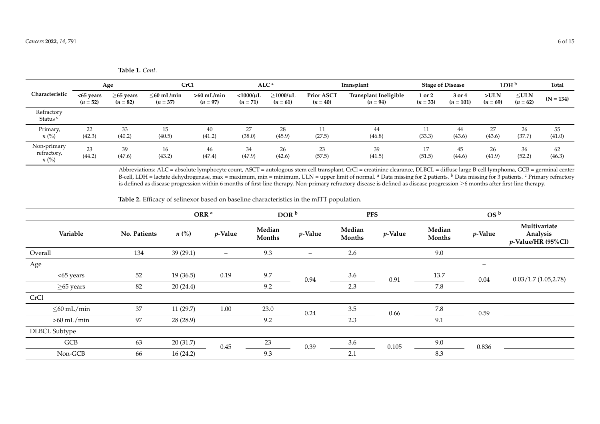**Table 1.** *Cont.*

| Characteristic                          |                            | Age                           |                          | <b>CrCl</b>                |                                 | ALC <sup>a</sup>            |                                 | Transplant                          |                      | <b>Stage of Disease</b> | LDH <sup>b</sup>   |                          | Total        |
|-----------------------------------------|----------------------------|-------------------------------|--------------------------|----------------------------|---------------------------------|-----------------------------|---------------------------------|-------------------------------------|----------------------|-------------------------|--------------------|--------------------------|--------------|
|                                         | $<$ 65 years<br>$(n = 52)$ | $\geq$ 65 years<br>$(n = 82)$ | <60 mL/min<br>$(n = 37)$ | $>60$ mL/min<br>$(n = 97)$ | $<$ 1000/ $\mu$ L<br>$(n = 71)$ | $>1000/\mu L$<br>$(n = 61)$ | <b>Prior ASCT</b><br>$(n = 40)$ | Transplant Ineligible<br>$(n = 94)$ | 1 or 2<br>$(n = 33)$ | 3 or 4<br>$(n = 101)$   | >ULN<br>$(n = 69)$ | $\leq$ ULN<br>$(n = 62)$ | $(N = 134)$  |
| Refractory<br>Status <sup>c</sup>       |                            |                               |                          |                            |                                 |                             |                                 |                                     |                      |                         |                    |                          |              |
| Primary,<br>$n$ (%)                     | 22<br>(42.3)               | 33<br>(40.2)                  | 15<br>(40.5)             | 40<br>(41.2)               | 27<br>(38.0)                    | 28<br>(45.9)                | -11<br>(27.5)                   | 44<br>(46.8)                        | (33.3)               | 44<br>(43.6)            | 27<br>(43.6)       | 26<br>(37.7)             | 55<br>(41.0) |
| Non-primary<br>refractory,<br>$n\ (\%)$ | 23<br>(44.2)               | 39<br>(47.6)                  | 16<br>(43.2)             | 46<br>(47.4)               | 34<br>(47.9)                    | 26<br>(42.6)                | 23<br>(57.5)                    | 39<br>(41.5)                        | (51.5)               | 45<br>(44.6)            | 26<br>(41.9)       | 36<br>(52.2)             | 62<br>(46.3) |

Abbreviations: ALC = absolute lymphocyte count, ASCT = autologous stem cell transplant, CrCl = creatinine clearance, DLBCL = diffuse large B-cell lymphoma, GCB = germinal center B-cell, LDH = lactate dehydrogenase, max = maximum, min = minimum, ULN = upper limit of normal. <sup>a</sup> Data missing for 2 patients. <sup>b</sup> Data missing for 3 patients. <sup>c</sup> Primary refractory is defined as disease progression within 6 months of first-line therapy. Non-primary refractory disease is defined as disease progression ≥6 months after first-line therapy.

**Table 2.** Efficacy of selinexor based on baseline characteristics in the mITT population.

<span id="page-5-0"></span>

|                      |              | ORR <sup>a</sup> |                          | DOR <sup>b</sup>        |                   | <b>PFS</b>              |            | OS <sup>b</sup>  |                          |                                                |
|----------------------|--------------|------------------|--------------------------|-------------------------|-------------------|-------------------------|------------|------------------|--------------------------|------------------------------------------------|
| Variable             | No. Patients | $n\ (\%)$        | $p$ -Value               | Median<br><b>Months</b> | $p$ -Value        | Median<br><b>Months</b> | $p$ -Value | Median<br>Months | $p$ -Value               | Multivariate<br>Analysis<br>p-Value/HR (95%CI) |
| Overall              | 134          | 39(29.1)         | $\overline{\phantom{m}}$ | 9.3                     | $\qquad \qquad -$ | 2.6                     |            | 9.0              |                          |                                                |
| Age                  |              |                  |                          |                         |                   |                         |            |                  | $\overline{\phantom{0}}$ |                                                |
| <65 years            | 52           | 19(36.5)         | 0.19                     | 9.7                     | 0.94              | 3.6                     | 0.91       | 13.7             | $0.04\,$                 | 0.03/1.7(1.05,2.78)                            |
| $\geq$ 65 years      | 82           | 20(24.4)         |                          | 9.2                     |                   | 2.3                     |            | 7.8              |                          |                                                |
| CrCl                 |              |                  |                          |                         |                   |                         |            |                  |                          |                                                |
| $\leq$ 60 mL/min     | 37           | 11(29.7)         | 1.00                     | 23.0                    | 0.24              | 3.5                     | 0.66       | 7.8              | 0.59                     |                                                |
| $>60$ mL/min         | 97           | 28 (28.9)        |                          | 9.2                     |                   | 2.3                     |            | 9.1              |                          |                                                |
| <b>DLBCL Subtype</b> |              |                  |                          |                         |                   |                         |            |                  |                          |                                                |
| GCB                  | 63           | 20(31.7)         | $0.45\,$                 | 23                      | 0.39              | 3.6                     | 0.105      | 9.0              | 0.836                    |                                                |
| Non-GCB              | 66           | 16(24.2)         |                          | 9.3                     |                   | 2.1                     |            | 8.3              |                          |                                                |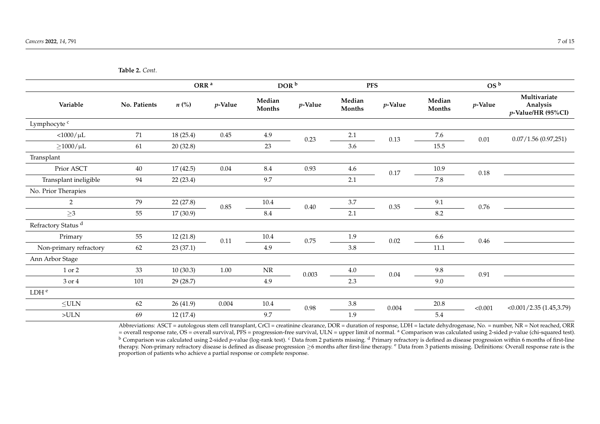**Table 2.** *Cont.*

|                                |              | ORR <sup>a</sup> |            | DOR <sup>b</sup> |            | <b>PFS</b>       |            |                  | OS <sup>b</sup> |                                                |
|--------------------------------|--------------|------------------|------------|------------------|------------|------------------|------------|------------------|-----------------|------------------------------------------------|
| Variable                       | No. Patients | $n\ (\%)$        | $p$ -Value | Median<br>Months | $p$ -Value | Median<br>Months | $p$ -Value | Median<br>Months | $p$ -Value      | Multivariate<br>Analysis<br>p-Value/HR (95%CI) |
| Lymphocyte <sup>c</sup>        |              |                  |            |                  |            |                  |            |                  |                 |                                                |
| $<$ 1000/ $\mu$ L              | $71\,$       | 18(25.4)         | 0.45       | 4.9              | 0.23       | 2.1              | $0.13\,$   | 7.6              | $0.01\,$        | 0.07/1.56(0.97,251)                            |
| $\geq$ 1000/ $\mu$ L           | 61           | 20 (32.8)        |            | 23               |            | 3.6              |            | 15.5             |                 |                                                |
| Transplant                     |              |                  |            |                  |            |                  |            |                  |                 |                                                |
| Prior ASCT                     | 40           | 17(42.5)         | 0.04       | $\!\!8.4$        | 0.93       | 4.6              | $0.17\,$   | 10.9             | $0.18\,$        |                                                |
| Transplant ineligible          | $\rm 94$     | 22 (23.4)        |            | 9.7              |            | 2.1              |            | 7.8              |                 |                                                |
| No. Prior Therapies            |              |                  |            |                  |            |                  |            |                  |                 |                                                |
| $\overline{2}$                 | 79           | 22(27.8)         | $0.85\,$   | 10.4             | $0.40\,$   | 3.7              | 0.35       | 9.1              | 0.76            |                                                |
| $\geq$ 3                       | 55           | 17(30.9)         |            | 8.4              |            | 2.1              |            | 8.2              |                 |                                                |
| Refractory Status <sup>d</sup> |              |                  |            |                  |            |                  |            |                  |                 |                                                |
| Primary                        | 55           | 12(21.8)         | 0.11       | 10.4             | 0.75       | 1.9              | $0.02\,$   | 6.6              | 0.46            |                                                |
| Non-primary refractory         | 62           | 23(37.1)         |            | 4.9              |            | 3.8              |            | $11.1\,$         |                 |                                                |
| Ann Arbor Stage                |              |                  |            |                  |            |                  |            |                  |                 |                                                |
| 1 or 2                         | 33           | 10(30.3)         | $1.00\,$   | $\rm NR$         | 0.003      | 4.0              | 0.04       | 9.8              | 0.91            |                                                |
| 3 or 4                         | 101          | 29 (28.7)        |            | 4.9              |            | 2.3              |            | 9.0              |                 |                                                |
| LDH <sup>e</sup>               |              |                  |            |                  |            |                  |            |                  |                 |                                                |
| $\leq$ ULN                     | 62           | 26(41.9)         | 0.004      | 10.4             | 0.98       | $3.8\,$          | 0.004      | 20.8             | < 0.001         | <0.001/2.35(1.45,3.79)                         |
| >ULN                           | 69           | 12(17.4)         |            | 9.7              |            | 1.9              |            | 5.4              |                 |                                                |

Abbreviations: ASCT = autologous stem cell transplant, CrCl = creatinine clearance, DOR = duration of response, LDH = lactate dehydrogenase, No. = number, NR = Not reached, ORR = overall response rate, OS = overall survival, PFS = progression-free survival, ULN = upper limit of normal. <sup>a</sup> Comparison was calculated using 2-sided *p*-value (chi-squared test). <sup>b</sup> Comparison was calculated using 2-sided *p*-value (log-rank test). <sup>c</sup> Data from 2 patients missing. <sup>d</sup> Primary refractory is defined as disease progression within 6 months of first-line therapy. Non-primary refractory disease is defined as disease progression ≥6 months after first-line therapy. <sup>e</sup> Data from 3 patients missing. Definitions: Overall response rate is the proportion of patients who achieve a partial response or complete response.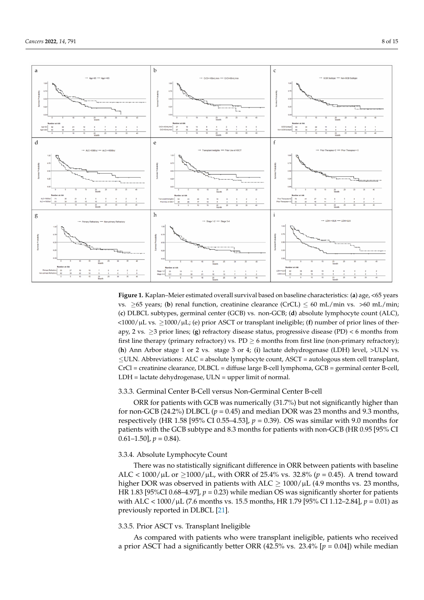

<span id="page-7-0"></span>

**Figure 1.** Kaplan–Meier estimated overall survival based on baseline characteristics: (**a**) age, <65 years vs.  $>65$  years; (b) renal function, creatinine clearance (CrCL)  $< 60$  mL/min vs.  $>60$  mL/min; (**c**) DLBCL subtypes, germinal center (GCB) vs. non-GCB; (**d**) absolute lymphocyte count (ALC), <1000/µL vs. ≥1000/µL; (e) prior ASCT or transplant ineligible; (**f**) number of prior lines of therapy, 2 vs. ≥3 prior lines; (**g**) refractory disease status, progressive disease (PD) < 6 months from first line therapy (primary refractory) vs.  $PD \ge 6$  months from first line (non-primary refractory); (**h**) Ann Arbor stage 1 or 2 vs. stage 3 or 4; (**i**) lactate dehydrogenase (LDH) level, >ULN vs.  $\leq$ ULN. Abbreviations: ALC = absolute lymphocyte count, ASCT = autologous stem cell transplant, CrCl = creatinine clearance, DLBCL = diffuse large B-cell lymphoma, GCB = germinal center B-cell, LDH = lactate dehydrogenase, ULN = upper limit of normal.

#### 3.3.3. Germinal Center B-Cell versus Non-Germinal Center B-cell

ORR for patients with GCB was numerically (31.7%) but not significantly higher than for non-GCB (24.2%) DLBCL ( $p = 0.45$ ) and median DOR was 23 months and 9.3 months, respectively (HR 1.58 [95% CI 0.55–4.53],  $p = 0.39$ ). OS was similar with 9.0 months for patients with the GCB subtype and 8.3 months for patients with non-GCB (HR 0.95 [95% CI  $0.61 - 1.50$ ],  $p = 0.84$ ).

## 3.3.4. Absolute Lymphocyte Count

There was no statistically significant difference in ORR between patients with baseline ALC < 1000/µL or ≥1000/µL, with ORR of 25.4% vs. 32.8% (*p* = 0.45). A trend toward higher DOR was observed in patients with  $ALC \geq 1000/\mu L$  (4.9 months vs. 23 months, HR 1.83 [95%CI 0.68–4.97],  $p = 0.23$ ) while median OS was significantly shorter for patients with ALC <  $1000/\mu$ L (7.6 months vs. 15.5 months, HR 1.79 [95% CI 1.12–2.84],  $p = 0.01$ ) as previously reported in DLBCL [\[21\]](#page-14-10).

## 3.3.5. Prior ASCT vs. Transplant Ineligible

As compared with patients who were transplant ineligible, patients who received a prior ASCT had a significantly better ORR (42.5% vs. 23.4% [*p* = 0.04]) while median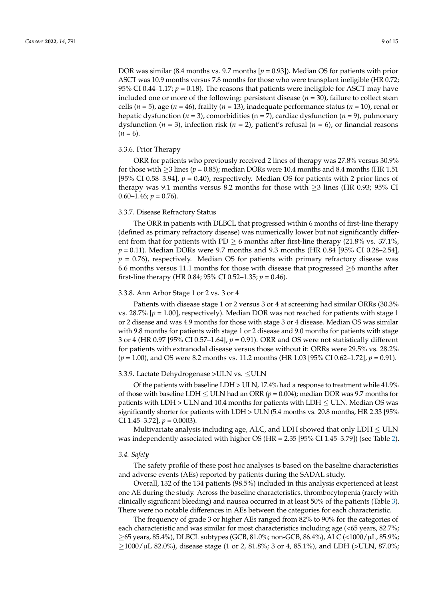DOR was similar (8.4 months vs. 9.7 months [*p* = 0.93]). Median OS for patients with prior ASCT was 10.9 months versus 7.8 months for those who were transplant ineligible (HR 0.72; 95% CI 0.44–1.17;  $p = 0.18$ ). The reasons that patients were ineligible for ASCT may have included one or more of the following: persistent disease (*n* = 30), failure to collect stem cells (*n* = 5), age (*n* = 46), frailty (*n* = 13), inadequate performance status (*n* = 10), renal or hepatic dysfunction (*n* = 3), comorbidities (n = 7), cardiac dysfunction (*n* = 9), pulmonary dysfunction ( $n = 3$ ), infection risk ( $n = 2$ ), patient's refusal ( $n = 6$ ), or financial reasons  $(n = 6)$ .

#### 3.3.6. Prior Therapy

ORR for patients who previously received 2 lines of therapy was 27.8% versus 30.9% for those with  $>$ 3 lines ( $p = 0.85$ ); median DORs were 10.4 months and 8.4 months (HR 1.51) [95% CI 0.58–3.94],  $p = 0.40$ ), respectively. Median OS for patients with 2 prior lines of therapy was 9.1 months versus 8.2 months for those with  $\geq$ 3 lines (HR 0.93; 95% CI 0.60–1.46;  $p = 0.76$ ).

#### 3.3.7. Disease Refractory Status

The ORR in patients with DLBCL that progressed within 6 months of first-line therapy (defined as primary refractory disease) was numerically lower but not significantly different from that for patients with PD  $\geq 6$  months after first-line therapy (21.8% vs. 37.1%, *p* = 0.11). Median DORs were 9.7 months and 9.3 months (HR 0.84 [95% CI 0.28–2.54],  $p = 0.76$ ), respectively. Median OS for patients with primary refractory disease was 6.6 months versus 11.1 months for those with disease that progressed  $\geq 6$  months after first-line therapy (HR 0.84;  $95\%$  CI 0.52–1.35;  $p = 0.46$ ).

#### 3.3.8. Ann Arbor Stage 1 or 2 vs. 3 or 4

Patients with disease stage 1 or 2 versus 3 or 4 at screening had similar ORRs (30.3% vs. 28.7% [*p* = 1.00], respectively). Median DOR was not reached for patients with stage 1 or 2 disease and was 4.9 months for those with stage 3 or 4 disease. Median OS was similar with 9.8 months for patients with stage 1 or 2 disease and 9.0 months for patients with stage 3 or 4 (HR 0.97 [95% CI 0.57–1.64], *p* = 0.91). ORR and OS were not statistically different for patients with extranodal disease versus those without it: ORRs were 29.5% vs. 28.2% (*p* = 1.00), and OS were 8.2 months vs. 11.2 months (HR 1.03 [95% CI 0.62–1.72], *p* = 0.91).

## 3.3.9. Lactate Dehydrogenase >ULN vs. ≤ULN

Of the patients with baseline LDH > ULN, 17.4% had a response to treatment while 41.9% of those with baseline LDH  $\leq$  ULN had an ORR ( $p = 0.004$ ); median DOR was 9.7 months for patients with  $LDH > ULN$  and 10.4 months for patients with  $LDH < ULN$ . Median OS was significantly shorter for patients with LDH > ULN (5.4 months vs. 20.8 months, HR 2.33 [95% CI 1.45–3.72], *p* = 0.0003).

Multivariate analysis including age, ALC, and LDH showed that only  $LDH \leq ULN$ was independently associated with higher OS (HR = 2.35 [95% CI 1.45–3.79]) (see Table [2\)](#page-5-0).

## *3.4. Safety*

The safety profile of these post hoc analyses is based on the baseline characteristics and adverse events (AEs) reported by patients during the SADAL study.

Overall, 132 of the 134 patients (98.5%) included in this analysis experienced at least one AE during the study. Across the baseline characteristics, thrombocytopenia (rarely with clinically significant bleeding) and nausea occurred in at least 50% of the patients (Table [3\)](#page-9-0). There were no notable differences in AEs between the categories for each characteristic.

The frequency of grade 3 or higher AEs ranged from 82% to 90% for the categories of each characteristic and was similar for most characteristics including age (<65 years, 82.7%;  $\geq$ 65 years, 85.4%), DLBCL subtypes (GCB, 81.0%; non-GCB, 86.4%), ALC (<1000/ $\mu$ L, 85.9%;  $\geq$ 1000/µL 82.0%), disease stage (1 or 2, 81.8%; 3 or 4, 85.1%), and LDH (>ULN, 87.0%;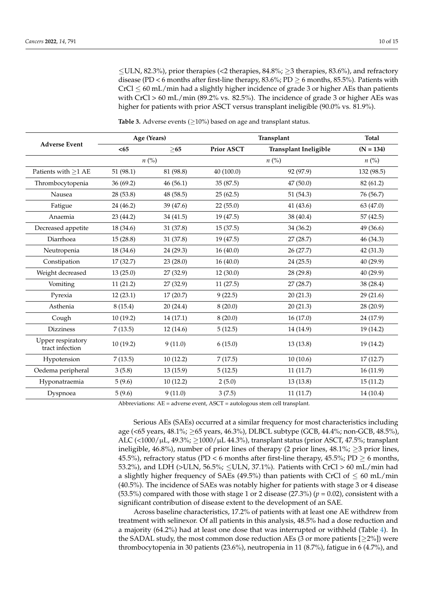$\leq$ ULN, 82.3%), prior therapies (<2 therapies, 84.8%;  $\geq$ 3 therapies, 83.6%), and refractory disease (PD < 6 months after first-line therapy, 83.6%; PD  $\geq$  6 months, 85.5%). Patients with  $CrCl \leq 60$  mL/min had a slightly higher incidence of grade 3 or higher AEs than patients with CrCl  $> 60$  mL/min (89.2% vs. 82.5%). The incidence of grade 3 or higher AEs was higher for patients with prior ASCT versus transplant ineligible (90.0% vs. 81.9%).

|                                      |           | Age (Years)        |                   | Transplant                   |                    |  |  |  |
|--------------------------------------|-----------|--------------------|-------------------|------------------------------|--------------------|--|--|--|
| <b>Adverse Event</b>                 | $65$      | >65                | <b>Prior ASCT</b> | <b>Transplant Ineligible</b> | $(N = 134)$        |  |  |  |
|                                      |           | $n\left(\%\right)$ |                   | $n\left(\%\right)$           | $n\left(\%\right)$ |  |  |  |
| Patients with ${\geq}1$ AE           | 51(98.1)  | 81 (98.8)          | 40 (100.0)        | 92 (97.9)                    | 132 (98.5)         |  |  |  |
| Thrombocytopenia                     | 36 (69.2) | 46(56.1)           | 35(87.5)          | 47(50.0)                     | 82 (61.2)          |  |  |  |
| Nausea                               | 28 (53.8) | 48 (58.5)          | 25(62.5)          | 51 (54.3)                    | 76 (56.7)          |  |  |  |
| Fatigue                              | 24 (46.2) | 39 (47.6)          | 22(55.0)          | 41 (43.6)                    | 63 (47.0)          |  |  |  |
| Anaemia                              | 23 (44.2) | 34 (41.5)          | 19(47.5)          | 38 (40.4)                    | 57(42.5)           |  |  |  |
| Decreased appetite                   | 18 (34.6) | 31 (37.8)          | 15(37.5)          | 34 (36.2)                    | 49 (36.6)          |  |  |  |
| Diarrhoea                            | 15(28.8)  | 31 (37.8)          | 19 (47.5)         | 27 (28.7)                    | 46 (34.3)          |  |  |  |
| Neutropenia                          | 18 (34.6) | 24 (29.3)          | 16(40.0)          | 26 (27.7)                    | 42 (31.3)          |  |  |  |
| Constipation                         | 17(32.7)  | 23(28.0)           | 16(40.0)          | 24(25.5)                     | 40 (29.9)          |  |  |  |
| Weight decreased                     | 13(25.0)  | 27(32.9)           | 12(30.0)          | 28 (29.8)                    | 40 (29.9)          |  |  |  |
| Vomiting                             | 11(21.2)  | 27 (32.9)          | 11(27.5)          | 27(28.7)                     | 38 (28.4)          |  |  |  |
| Pyrexia                              | 12(23.1)  | 17(20.7)           | 9(22.5)           | 20(21.3)                     | 29 (21.6)          |  |  |  |
| Asthenia                             | 8(15.4)   | 20(24.4)           | 8(20.0)           | 20(21.3)                     | 28 (20.9)          |  |  |  |
| Cough                                | 10(19.2)  | 14(17.1)           | 8(20.0)           | 16(17.0)                     | 24 (17.9)          |  |  |  |
| <b>Dizziness</b>                     | 7(13.5)   | 12(14.6)           | 5(12.5)           | 14 (14.9)                    | 19 (14.2)          |  |  |  |
| Upper respiratory<br>tract infection | 10(19.2)  | 9(11.0)            | 6(15.0)           | 13(13.8)                     | 19 (14.2)          |  |  |  |
| Hypotension                          | 7(13.5)   | 10(12.2)           | 7(17.5)           | 10(10.6)                     | 17(12.7)           |  |  |  |
| Oedema peripheral                    | 3(5.8)    | 13(15.9)           | 5(12.5)           | 11(11.7)                     | 16(11.9)           |  |  |  |
| Hyponatraemia                        | 5(9.6)    | 10(12.2)           | 2(5.0)            | 13(13.8)                     | 15(11.2)           |  |  |  |
| Dyspnoea                             | 5(9.6)    | 9(11.0)            | 3(7.5)            | 11(11.7)                     | 14 (10.4)          |  |  |  |

<span id="page-9-0"></span>**Table 3.** Adverse events  $(≥10%)$  based on age and transplant status.

Abbreviations: AE = adverse event, ASCT = autologous stem cell transplant.

Serious AEs (SAEs) occurred at a similar frequency for most characteristics including age (<65 years, 48.1%; ≥65 years, 46.3%), DLBCL subtype (GCB, 44.4%; non-GCB, 48.5%), ALC (<1000/ $\mu$ L, 49.3%;  $\geq$ 1000/ $\mu$ L 44.3%), transplant status (prior ASCT, 47.5%; transplant ineligible, 46.8%), number of prior lines of therapy (2 prior lines, 48.1%;  $\geq$ 3 prior lines, 45.5%), refractory status (PD < 6 months after first-line therapy, 45.5%; PD  $\geq$  6 months, 53.2%), and LDH (>ULN, 56.5%;  $\leq$ ULN, 37.1%). Patients with CrCl > 60 mL/min had a slightly higher frequency of SAEs (49.5%) than patients with CrCl of  $\leq 60$  mL/min (40.5%). The incidence of SAEs was notably higher for patients with stage 3 or 4 disease (53.5%) compared with those with stage 1 or 2 disease (27.3%) ( $p = 0.02$ ), consistent with a significant contribution of disease extent to the development of an SAE.

Across baseline characteristics, 17.2% of patients with at least one AE withdrew from treatment with selinexor. Of all patients in this analysis, 48.5% had a dose reduction and a majority (64.2%) had at least one dose that was interrupted or withheld (Table [4\)](#page-10-0). In the SADAL study, the most common dose reduction AEs (3 or more patients [ $\geq$ 2%]) were thrombocytopenia in 30 patients (23.6%), neutropenia in 11 (8.7%), fatigue in 6 (4.7%), and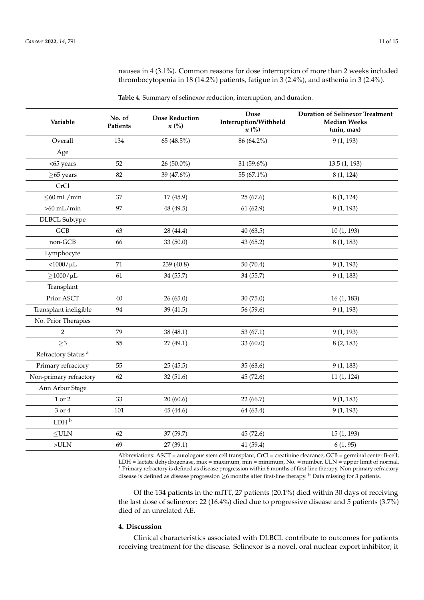nausea in 4 (3.1%). Common reasons for dose interruption of more than 2 weeks included thrombocytopenia in 18 (14.2%) patients, fatigue in 3 (2.4%), and asthenia in 3 (2.4%).

<span id="page-10-0"></span>**Table 4.** Summary of selinexor reduction, interruption, and duration.

| Variable                       | No. of<br>Patients | <b>Dose Reduction</b><br>$n\left(\%\right)$ | <b>Dose</b><br>Interruption/Withheld<br>$n\left(\%\right)$ | <b>Duration of Selinexor Treatment</b><br><b>Median Weeks</b><br>(min, max) |
|--------------------------------|--------------------|---------------------------------------------|------------------------------------------------------------|-----------------------------------------------------------------------------|
| Overall                        | 134                | 65 (48.5%)                                  | 86 (64.2%)                                                 | 9(1, 193)                                                                   |
| Age                            |                    |                                             |                                                            |                                                                             |
| <65 years                      | 52                 | 26 (50.0%)                                  | 31 (59.6%)                                                 | 13.5(1, 193)                                                                |
| $\geq$ 65 years                | 82                 | 39 (47.6%)                                  | 55 (67.1%)                                                 | 8(1, 124)                                                                   |
| CrCl                           |                    |                                             |                                                            |                                                                             |
| $\leq$ 60 mL/min               | 37                 | 17(45.9)                                    | 25(67.6)                                                   | 8(1, 124)                                                                   |
| $>60$ mL/min                   | 97                 | 48 (49.5)                                   | 61(62.9)                                                   | 9(1, 193)                                                                   |
| <b>DLBCL</b> Subtype           |                    |                                             |                                                            |                                                                             |
| <b>GCB</b>                     | 63                 | 28 (44.4)                                   | 40(63.5)                                                   | 10(1, 193)                                                                  |
| non-GCB                        | 66                 | 33 (50.0)                                   | 43 (65.2)                                                  | 8(1, 183)                                                                   |
| Lymphocyte                     |                    |                                             |                                                            |                                                                             |
| $<\!\!1000/\mu L$              | 71                 | 239 (40.8)                                  | 50(70.4)                                                   | 9(1, 193)                                                                   |
| $\geq$ 1000/ $\mu$ L           | 61                 | 34 (55.7)                                   | 34 (55.7)                                                  | 9(1, 183)                                                                   |
| Transplant                     |                    |                                             |                                                            |                                                                             |
| Prior ASCT                     | 40                 | 26(65.0)                                    | 30 (75.0)                                                  | 16(1, 183)                                                                  |
| Transplant ineligible          | 94                 | 39 (41.5)                                   | 56 (59.6)                                                  | 9(1, 193)                                                                   |
| No. Prior Therapies            |                    |                                             |                                                            |                                                                             |
| $\overline{2}$                 | 79                 | 38 (48.1)                                   | 53 $(67.1)$                                                | 9(1, 193)                                                                   |
| $\geq$ 3                       | 55                 | 27(49.1)                                    | 33 (60.0)                                                  | 8(2, 183)                                                                   |
| Refractory Status <sup>a</sup> |                    |                                             |                                                            |                                                                             |
| Primary refractory             | 55                 | 25(45.5)                                    | 35(63.6)                                                   | 9(1, 183)                                                                   |
| Non-primary refractory         | 62                 | 32(51.6)                                    | 45 (72.6)                                                  | 11(1, 124)                                                                  |
| Ann Arbor Stage                |                    |                                             |                                                            |                                                                             |
| $1$ or $2\,$                   | 33                 | 20(60.6)                                    | 22 (66.7)                                                  | 9(1, 183)                                                                   |
| 3 or 4                         | 101                | 45 (44.6)                                   | 64 (63.4)                                                  | 9(1, 193)                                                                   |
| LDH <sup>b</sup>               |                    |                                             |                                                            |                                                                             |
| $\leq$ ULN                     | 62                 | 37 (59.7)                                   | 45 (72.6)                                                  | 15(1, 193)                                                                  |
| $>ULN$                         | 69                 | 27(39.1)                                    | 41 (59.4)                                                  | 6(1, 95)                                                                    |

Abbreviations: ASCT = autologous stem cell transplant, CrCl = creatinine clearance, GCB = germinal center B-cell; LDH = lactate dehydrogenase, max = maximum, min = minimum, No. = number, ULN = upper limit of normal. <sup>a</sup> Primary refractory is defined as disease progression within 6 months of first-line therapy. Non-primary refractory disease is defined as disease progression  $\geq$ 6 months after first-line therapy.  $^{\rm b}$  Data missing for 3 patients.

Of the 134 patients in the mITT, 27 patients (20.1%) died within 30 days of receiving the last dose of selinexor: 22 (16.4%) died due to progressive disease and 5 patients (3.7%) died of an unrelated AE.

# **4. Discussion**

Clinical characteristics associated with DLBCL contribute to outcomes for patients receiving treatment for the disease. Selinexor is a novel, oral nuclear export inhibitor; it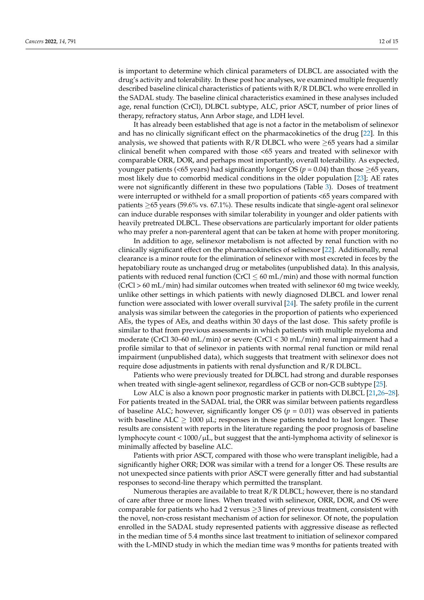is important to determine which clinical parameters of DLBCL are associated with the drug's activity and tolerability. In these post hoc analyses, we examined multiple frequently described baseline clinical characteristics of patients with R/R DLBCL who were enrolled in the SADAL study. The baseline clinical characteristics examined in these analyses included age, renal function (CrCl), DLBCL subtype, ALC, prior ASCT, number of prior lines of therapy, refractory status, Ann Arbor stage, and LDH level.

It has already been established that age is not a factor in the metabolism of selinexor and has no clinically significant effect on the pharmacokinetics of the drug [\[22\]](#page-14-11). In this analysis, we showed that patients with  $R/R$  DLBCL who were  $\geq$ 65 years had a similar clinical benefit when compared with those <65 years and treated with selinexor with comparable ORR, DOR, and perhaps most importantly, overall tolerability. As expected, younger patients (<65 years) had significantly longer OS ( $p = 0.04$ ) than those >65 years, most likely due to comorbid medical conditions in the older population [\[23\]](#page-14-12); AE rates were not significantly different in these two populations (Table [3\)](#page-9-0). Doses of treatment were interrupted or withheld for a small proportion of patients <65 years compared with patients  $\geq 65$  years (59.6% vs. 67.1%). These results indicate that single-agent oral selinexor can induce durable responses with similar tolerability in younger and older patients with heavily pretreated DLBCL. These observations are particularly important for older patients who may prefer a non-parenteral agent that can be taken at home with proper monitoring.

In addition to age, selinexor metabolism is not affected by renal function with no clinically significant effect on the pharmacokinetics of selinexor [\[22\]](#page-14-11). Additionally, renal clearance is a minor route for the elimination of selinexor with most excreted in feces by the hepatobiliary route as unchanged drug or metabolites (unpublished data). In this analysis, patients with reduced renal function ( $CrCl \leq 60$  mL/min) and those with normal function  $(CrCl > 60 \text{ mL/min})$  had similar outcomes when treated with selinexor 60 mg twice weekly, unlike other settings in which patients with newly diagnosed DLBCL and lower renal function were associated with lower overall survival [\[24\]](#page-14-13). The safety profile in the current analysis was similar between the categories in the proportion of patients who experienced AEs, the types of AEs, and deaths within 30 days of the last dose. This safety profile is similar to that from previous assessments in which patients with multiple myeloma and moderate (CrCl 30–60 mL/min) or severe (CrCl < 30 mL/min) renal impairment had a profile similar to that of selinexor in patients with normal renal function or mild renal impairment (unpublished data), which suggests that treatment with selinexor does not require dose adjustments in patients with renal dysfunction and R/R DLBCL.

Patients who were previously treated for DLBCL had strong and durable responses when treated with single-agent selinexor, regardless of GCB or non-GCB subtype [\[25\]](#page-14-14).

Low ALC is also a known poor prognostic marker in patients with DLBCL [\[21](#page-14-10)[,26](#page-14-15)[–28\]](#page-14-16). For patients treated in the SADAL trial, the ORR was similar between patients regardless of baseline ALC; however, significantly longer OS  $(p = 0.01)$  was observed in patients with baseline ALC  $\geq$  1000 µL; responses in these patients tended to last longer. These results are consistent with reports in the literature regarding the poor prognosis of baseline lymphocyte count < 1000/µL, but suggest that the anti-lymphoma activity of selinexor is minimally affected by baseline ALC.

Patients with prior ASCT, compared with those who were transplant ineligible, had a significantly higher ORR; DOR was similar with a trend for a longer OS. These results are not unexpected since patients with prior ASCT were generally fitter and had substantial responses to second-line therapy which permitted the transplant.

Numerous therapies are available to treat R/R DLBCL; however, there is no standard of care after three or more lines. When treated with selinexor, ORR, DOR, and OS were comparable for patients who had 2 versus  $\geq$ 3 lines of previous treatment, consistent with the novel, non-cross resistant mechanism of action for selinexor. Of note, the population enrolled in the SADAL study represented patients with aggressive disease as reflected in the median time of 5.4 months since last treatment to initiation of selinexor compared with the L-MIND study in which the median time was 9 months for patients treated with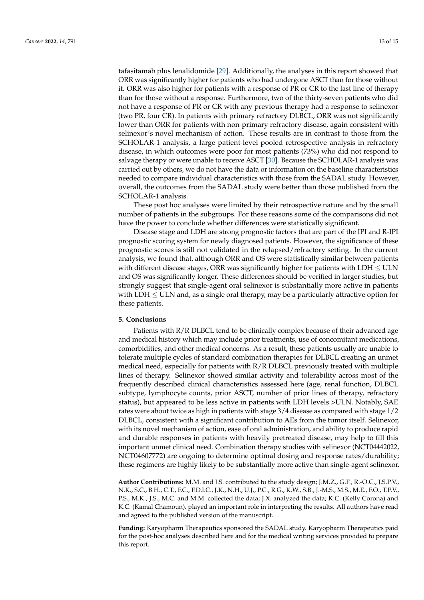tafasitamab plus lenalidomide [\[29\]](#page-14-17). Additionally, the analyses in this report showed that ORR was significantly higher for patients who had undergone ASCT than for those without it. ORR was also higher for patients with a response of PR or CR to the last line of therapy than for those without a response. Furthermore, two of the thirty-seven patients who did not have a response of PR or CR with any previous therapy had a response to selinexor (two PR, four CR). In patients with primary refractory DLBCL, ORR was not significantly lower than ORR for patients with non-primary refractory disease, again consistent with selinexor's novel mechanism of action. These results are in contrast to those from the SCHOLAR-1 analysis, a large patient-level pooled retrospective analysis in refractory disease, in which outcomes were poor for most patients (73%) who did not respond to salvage therapy or were unable to receive ASCT [\[30\]](#page-14-18). Because the SCHOLAR-1 analysis was carried out by others, we do not have the data or information on the baseline characteristics needed to compare individual characteristics with those from the SADAL study. However, overall, the outcomes from the SADAL study were better than those published from the SCHOLAR-1 analysis.

These post hoc analyses were limited by their retrospective nature and by the small number of patients in the subgroups. For these reasons some of the comparisons did not have the power to conclude whether differences were statistically significant.

Disease stage and LDH are strong prognostic factors that are part of the IPI and R-IPI prognostic scoring system for newly diagnosed patients. However, the significance of these prognostic scores is still not validated in the relapsed/refractory setting. In the current analysis, we found that, although ORR and OS were statistically similar between patients with different disease stages, ORR was significantly higher for patients with  $LDH \leq ULN$ and OS was significantly longer. These differences should be verified in larger studies, but strongly suggest that single-agent oral selinexor is substantially more active in patients with LDH  $\leq$  ULN and, as a single oral therapy, may be a particularly attractive option for these patients.

### **5. Conclusions**

Patients with R/R DLBCL tend to be clinically complex because of their advanced age and medical history which may include prior treatments, use of concomitant medications, comorbidities, and other medical concerns. As a result, these patients usually are unable to tolerate multiple cycles of standard combination therapies for DLBCL creating an unmet medical need, especially for patients with R/R DLBCL previously treated with multiple lines of therapy. Selinexor showed similar activity and tolerability across most of the frequently described clinical characteristics assessed here (age, renal function, DLBCL subtype, lymphocyte counts, prior ASCT, number of prior lines of therapy, refractory status), but appeared to be less active in patients with LDH levels >ULN. Notably, SAE rates were about twice as high in patients with stage 3/4 disease as compared with stage 1/2 DLBCL, consistent with a significant contribution to AEs from the tumor itself. Selinexor, with its novel mechanism of action, ease of oral administration, and ability to produce rapid and durable responses in patients with heavily pretreated disease, may help to fill this important unmet clinical need. Combination therapy studies with selinexor (NCT04442022, NCT04607772) are ongoing to determine optimal dosing and response rates/durability; these regimens are highly likely to be substantially more active than single-agent selinexor.

**Author Contributions:** M.M. and J.S. contributed to the study design; J.M.Z., G.F., R.-O.C., J.S.P.V., N.K., S.C., B.H., C.T., F.C., F.D.l.C., J.K., N.H., U.J., P.C., R.G., K.W., S.B., J.-M.S., M.S., M.E., F.O., T.P.V., P.S., M.K., J.S., M.C. and M.M. collected the data; J.X. analyzed the data; K.C. (Kelly Corona) and K.C. (Kamal Chamoun). played an important role in interpreting the results. All authors have read and agreed to the published version of the manuscript.

**Funding:** Karyopharm Therapeutics sponsored the SADAL study. Karyopharm Therapeutics paid for the post-hoc analyses described here and for the medical writing services provided to prepare this report.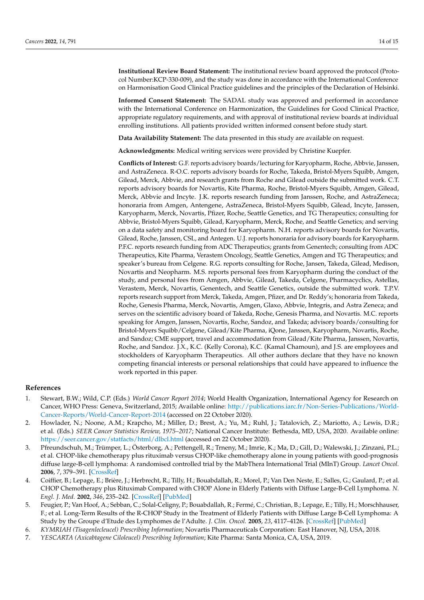**Institutional Review Board Statement:** The institutional review board approved the protocol (Protocol Number:KCP-330-009), and the study was done in accordance with the International Conference on Harmonisation Good Clinical Practice guidelines and the principles of the Declaration of Helsinki.

**Informed Consent Statement:** The SADAL study was approved and performed in accordance with the International Conference on Harmonization, the Guidelines for Good Clinical Practice, appropriate regulatory requirements, and with approval of institutional review boards at individual enrolling institutions. All patients provided written informed consent before study start.

**Data Availability Statement:** The data presented in this study are available on request.

**Acknowledgments:** Medical writing services were provided by Christine Kuepfer.

**Conflicts of Interest:** G.F. reports advisory boards/lecturing for Karyopharm, Roche, Abbvie, Janssen, and AstraZeneca. R-O.C. reports advisory boards for Roche, Takeda, Bristol-Myers Squibb, Amgen, Gilead, Merck, Abbvie, and research grants from Roche and Gilead outside the submitted work. C.T. reports advisory boards for Novartis, Kite Pharma, Roche, Bristol-Myers Squibb, Amgen, Gilead, Merck, Abbvie and Incyte. J.K. reports research funding from Janssen, Roche, and AstraZeneca; honoraria from Amgen, Antengene, AstraZeneca, Bristol-Myers Squibb, Gilead, Incyte, Janssen, Karyopharm, Merck, Novartis, Pfizer, Roche, Seattle Genetics, and TG Therapeutics; consulting for Abbvie, Bristol-Myers Squibb, Gilead, Karyopharm, Merck, Roche, and Seattle Genetics; and serving on a data safety and monitoring board for Karyopharm. N.H. reports advisory boards for Novartis, Gilead, Roche, Janssen, CSL, and Antegen. U.J. reports honoraria for advisory boards for Karyopharm. P.F.C. reports research funding from ADC Therapeutics; grants from Genentech; consulting from ADC Therapeutics, Kite Pharma, Verastem Oncology, Seattle Genetics, Amgen and TG Therapeutics; and speaker's bureau from Celgene. R.G. reports consulting for Roche, Jansen, Takeda, Gilead, Medison, Novartis and Neopharm. M.S. reports personal fees from Karyopharm during the conduct of the study, and personal fees from Amgen, Abbvie, Gilead, Takeda, Celgene, Pharmacyclics, Astellas, Verastem, Merck, Novartis, Genentech, and Seattle Genetics, outside the submitted work. T.P.V. reports research support from Merck, Takeda, Amgen, Pfizer, and Dr. Reddy's; honoraria from Takeda, Roche, Genesis Pharma, Merck, Novartis, Amgen, Glaxo, Abbvie, Integris, and Astra Zeneca; and serves on the scientific advisory board of Takeda, Roche, Genesis Pharma, and Novartis. M.C. reports speaking for Amgen, Janssen, Novartis, Roche, Sandoz, and Takeda; advisory boards/consulting for Bristol-Myers Squibb/Celgene, Gilead/Kite Pharma, iQone, Janssen, Karyopharm, Novartis, Roche, and Sandoz; CME support, travel and accommodation from Gilead/Kite Pharma, Janssen, Novartis, Roche, and Sandoz. J.X., K.C. (Kelly Corona), K.C. (Kamal Chamoun), and J.S. are employees and stockholders of Karyopharm Therapeutics. All other authors declare that they have no known competing financial interests or personal relationships that could have appeared to influence the work reported in this paper.

## **References**

- <span id="page-13-0"></span>1. Stewart, B.W.; Wild, C.P. (Eds.) *World Cancer Report 2014*; World Health Organization, International Agency for Research on Cancer, WHO Press: Geneva, Switzerland, 2015; Available online: [http://publications.iarc.fr/Non-Series-Publications/World-](http://publications.iarc.fr/Non-Series-Publications/World-Cancer-Reports/World-Cancer-Report-2014)[Cancer-Reports/World-Cancer-Report-2014](http://publications.iarc.fr/Non-Series-Publications/World-Cancer-Reports/World-Cancer-Report-2014) (accessed on 22 October 2020).
- <span id="page-13-1"></span>2. Howlader, N.; Noone, A.M.; Krapcho, M.; Miller, D.; Brest, A.; Yu, M.; Ruhl, J.; Tatalovich, Z.; Mariotto, A.; Lewis, D.R.; et al. (Eds.) *SEER Cancer Statistics Review, 1975–2017*; National Cancer Institute: Bethesda, MD, USA, 2020. Available online: <https://seer.cancer.gov/statfacts/html/dlbcl.html> (accessed on 22 October 2020).
- <span id="page-13-2"></span>3. Pfreundschuh, M.; Trümper, L.; Österborg, A.; Pettengell, R.; Trneny, M.; Imrie, K.; Ma, D.; Gill, D.; Walewski, J.; Zinzani, P.L.; et al. CHOP-like chemotherapy plus rituximab versus CHOP-like chemotherapy alone in young patients with good-prognosis diffuse large-B-cell lymphoma: A randomised controlled trial by the MabThera International Trial (MInT) Group. *Lancet Oncol.* **2006**, *7*, 379–391. [\[CrossRef\]](http://doi.org/10.1016/S1470-2045(06)70664-7)
- 4. Coiffier, B.; Lepage, E.; Brière, J.; Herbrecht, R.; Tilly, H.; Bouabdallah, R.; Morel, P.; Van Den Neste, E.; Salles, G.; Gaulard, P.; et al. CHOP Chemotherapy plus Rituximab Compared with CHOP Alone in Elderly Patients with Diffuse Large-B-Cell Lymphoma. *N. Engl. J. Med.* **2002**, *346*, 235–242. [\[CrossRef\]](http://doi.org/10.1056/NEJMoa011795) [\[PubMed\]](http://www.ncbi.nlm.nih.gov/pubmed/11807147)
- <span id="page-13-3"></span>5. Feugier, P.; Van Hoof, A.; Sebban, C.; Solal-Celigny, P.; Bouabdallah, R.; Fermé, C.; Christian, B.; Lepage, E.; Tilly, H.; Morschhauser, F.; et al. Long-Term Results of the R-CHOP Study in the Treatment of Elderly Patients with Diffuse Large B-Cell Lymphoma: A Study by the Groupe d'Etude des Lymphomes de l'Adulte. *J. Clin. Oncol.* **2005**, *23*, 4117–4126. [\[CrossRef\]](http://doi.org/10.1200/JCO.2005.09.131) [\[PubMed\]](http://www.ncbi.nlm.nih.gov/pubmed/15867204)
- <span id="page-13-4"></span>6. *KYMRIAH (Tisagenlecleucel) Prescribing Information*; Novartis Pharmaceuticals Corporation: East Hanover, NJ, USA, 2018.
- <span id="page-13-5"></span>7. *YESCARTA (Axicabtagene Ciloleucel) Prescribing Information*; Kite Pharma: Santa Monica, CA, USA, 2019.